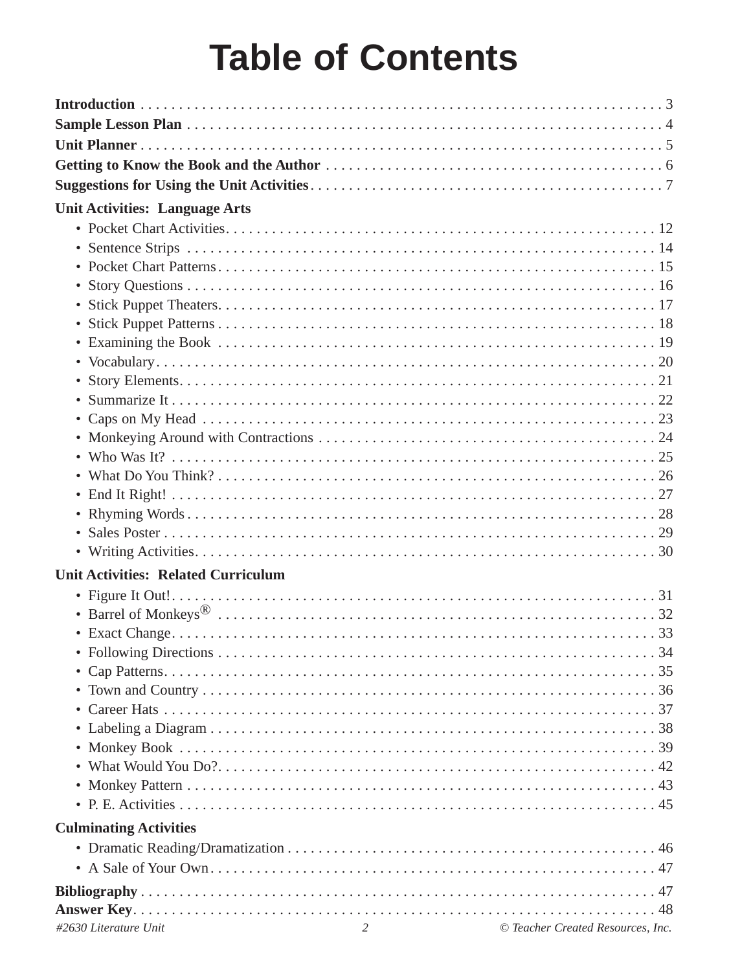## **Table of Contents**

| <b>Unit Activities: Language Arts</b>      |   |                                   |  |
|--------------------------------------------|---|-----------------------------------|--|
|                                            |   |                                   |  |
|                                            |   |                                   |  |
|                                            |   |                                   |  |
|                                            |   |                                   |  |
|                                            |   |                                   |  |
| $\bullet$                                  |   |                                   |  |
|                                            |   |                                   |  |
|                                            |   |                                   |  |
|                                            |   |                                   |  |
|                                            |   |                                   |  |
|                                            |   |                                   |  |
|                                            |   |                                   |  |
|                                            |   |                                   |  |
|                                            |   |                                   |  |
|                                            |   |                                   |  |
|                                            |   |                                   |  |
|                                            |   |                                   |  |
|                                            |   |                                   |  |
| <b>Unit Activities: Related Curriculum</b> |   |                                   |  |
|                                            |   |                                   |  |
|                                            |   |                                   |  |
|                                            |   |                                   |  |
|                                            |   |                                   |  |
|                                            |   |                                   |  |
|                                            |   |                                   |  |
|                                            |   |                                   |  |
|                                            |   |                                   |  |
|                                            |   |                                   |  |
|                                            |   |                                   |  |
|                                            |   |                                   |  |
|                                            |   |                                   |  |
| <b>Culminating Activities</b>              |   |                                   |  |
|                                            |   |                                   |  |
|                                            |   |                                   |  |
|                                            |   |                                   |  |
|                                            |   |                                   |  |
| #2630 Literature Unit                      | 2 | © Teacher Created Resources, Inc. |  |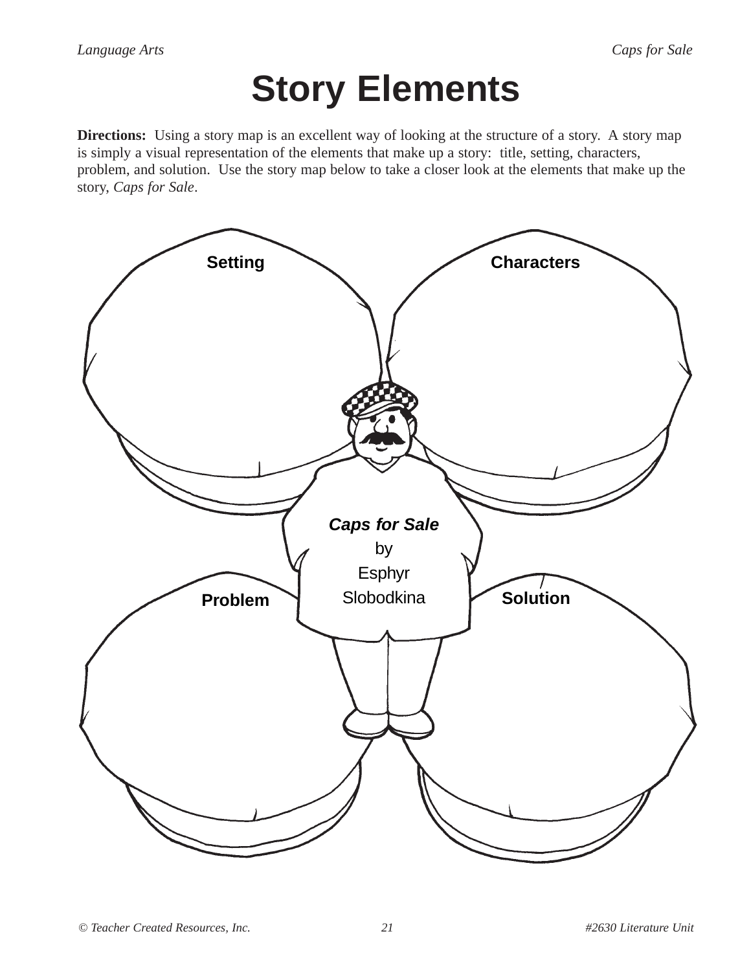## **Story Elements**

**Directions:** Using a story map is an excellent way of looking at the structure of a story. A story map is simply a visual representation of the elements that make up a story: title, setting, characters, problem, and solution. Use the story map below to take a closer look at the elements that make up the story, *Caps for Sale*.